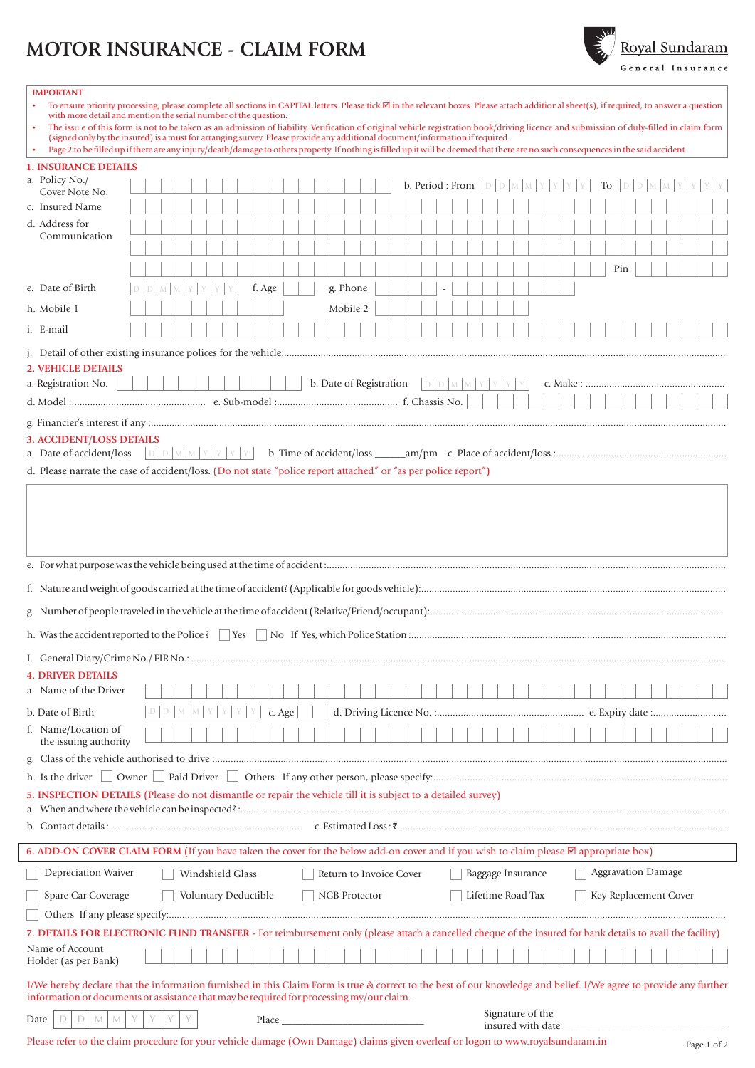## **MOTOR INSURANCE - CLAIM FORM**



| <b>IMPORTANT</b>                                            |                                                                                                                                                                                                                                                                                                                                                                                                                                                                   |                                                                                                                                                                    |
|-------------------------------------------------------------|-------------------------------------------------------------------------------------------------------------------------------------------------------------------------------------------------------------------------------------------------------------------------------------------------------------------------------------------------------------------------------------------------------------------------------------------------------------------|--------------------------------------------------------------------------------------------------------------------------------------------------------------------|
|                                                             | To ensure priority processing, please complete all sections in CAPITAL letters. Please tick $\boxtimes$ in the relevant boxes. Please attach additional sheet(s), if required, to answer a question<br>with more detail and mention the serial number of the question.<br>The issu e of this form is not to be taken as an admission of liability. Verification of original vehicle registration book/driving licence and submission of duly-filled in claim form |                                                                                                                                                                    |
|                                                             | (signed only by the insured) is a must for arranging survey. Please provide any additional document/information if required.                                                                                                                                                                                                                                                                                                                                      |                                                                                                                                                                    |
|                                                             | Page 2 to be filled up if there are any injury/death/damage to others property. If nothing is filled up it will be deemed that there are no such consequences in the said accident.                                                                                                                                                                                                                                                                               |                                                                                                                                                                    |
| <b>1. INSURANCE DETAILS</b>                                 |                                                                                                                                                                                                                                                                                                                                                                                                                                                                   |                                                                                                                                                                    |
| a. Policy No./<br>Cover Note No.                            | <b>b.</b> Period : From $\Box$                                                                                                                                                                                                                                                                                                                                                                                                                                    | To                                                                                                                                                                 |
| c. Insured Name                                             |                                                                                                                                                                                                                                                                                                                                                                                                                                                                   |                                                                                                                                                                    |
| d. Address for                                              |                                                                                                                                                                                                                                                                                                                                                                                                                                                                   |                                                                                                                                                                    |
| Communication                                               |                                                                                                                                                                                                                                                                                                                                                                                                                                                                   |                                                                                                                                                                    |
|                                                             |                                                                                                                                                                                                                                                                                                                                                                                                                                                                   |                                                                                                                                                                    |
| e. Date of Birth                                            | f. Age<br>g. Phone                                                                                                                                                                                                                                                                                                                                                                                                                                                | Pin                                                                                                                                                                |
| h. Mobile 1                                                 | Mobile 2                                                                                                                                                                                                                                                                                                                                                                                                                                                          |                                                                                                                                                                    |
| i. E-mail                                                   |                                                                                                                                                                                                                                                                                                                                                                                                                                                                   |                                                                                                                                                                    |
|                                                             |                                                                                                                                                                                                                                                                                                                                                                                                                                                                   |                                                                                                                                                                    |
| <b>2. VEHICLE DETAILS</b>                                   |                                                                                                                                                                                                                                                                                                                                                                                                                                                                   |                                                                                                                                                                    |
| a. Registration No.                                         | b. Date of Registration<br>D D M M Y                                                                                                                                                                                                                                                                                                                                                                                                                              | Y                                                                                                                                                                  |
|                                                             |                                                                                                                                                                                                                                                                                                                                                                                                                                                                   |                                                                                                                                                                    |
|                                                             |                                                                                                                                                                                                                                                                                                                                                                                                                                                                   |                                                                                                                                                                    |
|                                                             |                                                                                                                                                                                                                                                                                                                                                                                                                                                                   |                                                                                                                                                                    |
| <b>3. ACCIDENT/LOSS DETAILS</b><br>a. Date of accident/loss | DDMMYY<br>YY                                                                                                                                                                                                                                                                                                                                                                                                                                                      |                                                                                                                                                                    |
|                                                             | d. Please narrate the case of accident/loss. (Do not state "police report attached" or "as per police report")                                                                                                                                                                                                                                                                                                                                                    |                                                                                                                                                                    |
|                                                             |                                                                                                                                                                                                                                                                                                                                                                                                                                                                   |                                                                                                                                                                    |
|                                                             |                                                                                                                                                                                                                                                                                                                                                                                                                                                                   |                                                                                                                                                                    |
|                                                             |                                                                                                                                                                                                                                                                                                                                                                                                                                                                   |                                                                                                                                                                    |
|                                                             |                                                                                                                                                                                                                                                                                                                                                                                                                                                                   |                                                                                                                                                                    |
| <b>4. DRIVER DETAILS</b>                                    |                                                                                                                                                                                                                                                                                                                                                                                                                                                                   |                                                                                                                                                                    |
| a. Name of the Driver                                       |                                                                                                                                                                                                                                                                                                                                                                                                                                                                   |                                                                                                                                                                    |
| b. Date of Birth                                            | c. Age                                                                                                                                                                                                                                                                                                                                                                                                                                                            |                                                                                                                                                                    |
| f. Name/Location of<br>the issuing authority                |                                                                                                                                                                                                                                                                                                                                                                                                                                                                   |                                                                                                                                                                    |
| g.                                                          |                                                                                                                                                                                                                                                                                                                                                                                                                                                                   |                                                                                                                                                                    |
|                                                             |                                                                                                                                                                                                                                                                                                                                                                                                                                                                   |                                                                                                                                                                    |
|                                                             | 5. INSPECTION DETAILS (Please do not dismantle or repair the vehicle till it is subject to a detailed survey)                                                                                                                                                                                                                                                                                                                                                     |                                                                                                                                                                    |
|                                                             |                                                                                                                                                                                                                                                                                                                                                                                                                                                                   |                                                                                                                                                                    |
|                                                             |                                                                                                                                                                                                                                                                                                                                                                                                                                                                   |                                                                                                                                                                    |
|                                                             | 6. ADD-ON COVER CLAIM FORM (If you have taken the cover for the below add-on cover and if you wish to claim please ⊠ appropriate box)                                                                                                                                                                                                                                                                                                                             |                                                                                                                                                                    |
| <b>Depreciation Waiver</b>                                  | Return to Invoice Cover<br>Windshield Glass                                                                                                                                                                                                                                                                                                                                                                                                                       | <b>Aggravation Damage</b><br>Baggage Insurance                                                                                                                     |
| Spare Car Coverage                                          | Voluntary Deductible<br><b>NCB</b> Protector                                                                                                                                                                                                                                                                                                                                                                                                                      | Lifetime Road Tax<br>Key Replacement Cover                                                                                                                         |
|                                                             |                                                                                                                                                                                                                                                                                                                                                                                                                                                                   |                                                                                                                                                                    |
|                                                             | 7. DETAILS FOR ELECTRONIC FUND TRANSFER - For reimbursement only (please attach a cancelled cheque of the insured for bank details to avail the facility)                                                                                                                                                                                                                                                                                                         |                                                                                                                                                                    |
| Name of Account<br>Holder (as per Bank)                     |                                                                                                                                                                                                                                                                                                                                                                                                                                                                   |                                                                                                                                                                    |
|                                                             |                                                                                                                                                                                                                                                                                                                                                                                                                                                                   |                                                                                                                                                                    |
|                                                             |                                                                                                                                                                                                                                                                                                                                                                                                                                                                   | I/We hereby declare that the information furnished in this Claim Form is true & correct to the best of our knowledge and belief. I/We agree to provide any further |
|                                                             | information or documents or assistance that may be required for processing my/our claim.                                                                                                                                                                                                                                                                                                                                                                          | Signature of the                                                                                                                                                   |
| Date<br>M                                                   | Place and the contract of the contract of the contract of the contract of the contract of the contract of the contract of the contract of the contract of the contract of the contract of the contract of the contract of the<br>Please refer to the claim procedure for your vehicle damage (Own Damage) claims given overleaf or logon to www.royalsundaram.in                                                                                                  | insured with date                                                                                                                                                  |